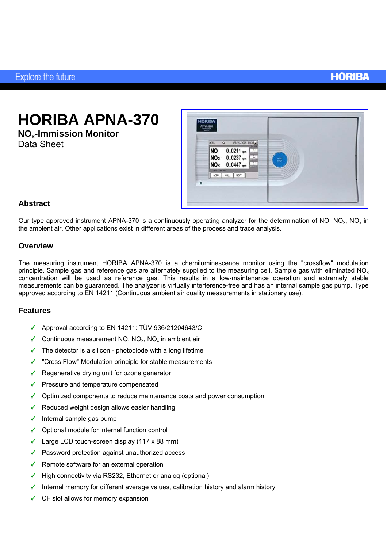## **HORIBA**

**HORIBA APNA-370** 

**NOx-Immission Monitor**  Data Sheet



### **Abstract**

Our type approved instrument APNA-370 is a continuously operating analyzer for the determination of NO, NO<sub>2</sub>, NO<sub>2</sub> in the ambient air. Other applications exist in different areas of the process and trace analysis.

#### **Overview**

The measuring instrument HORIBA APNA-370 is a chemiluminescence monitor using the "crossflow" modulation principle. Sample gas and reference gas are alternately supplied to the measuring cell. Sample gas with eliminated  $NO<sub>x</sub>$ concentration will be used as reference gas. This results in a low-maintenance operation and extremely stable measurements can be guaranteed. The analyzer is virtually interference-free and has an internal sample gas pump. Type approved according to EN 14211 (Continuous ambient air quality measurements in stationary use).

#### **Features**

- Approval according to EN 14211: TÜV 936/21204643/C
- Continuous measurement NO,  $NO<sub>2</sub>$ , NO<sub>x</sub> in ambient air
- $\checkmark$  The detector is a silicon photodiode with a long lifetime
- "Cross Flow" Modulation principle for stable measurements
- $\sqrt{\phantom{a}}$  Regenerative drying unit for ozone generator
- $\blacktriangleright$  Pressure and temperature compensated
- $\checkmark$  Optimized components to reduce maintenance costs and power consumption
- $\checkmark$  Reduced weight design allows easier handling
- $\checkmark$  Internal sample gas pump
- Optional module for internal function control
- $\checkmark$  Large LCD touch-screen display (117 x 88 mm)
- Password protection against unauthorized access
- $\sqrt{\phantom{a}}$  Remote software for an external operation
- $\blacktriangleright$  High connectivity via RS232, Ethernet or analog (optional)
- Internal memory for different average values, calibration history and alarm history
- CF slot allows for memory expansion